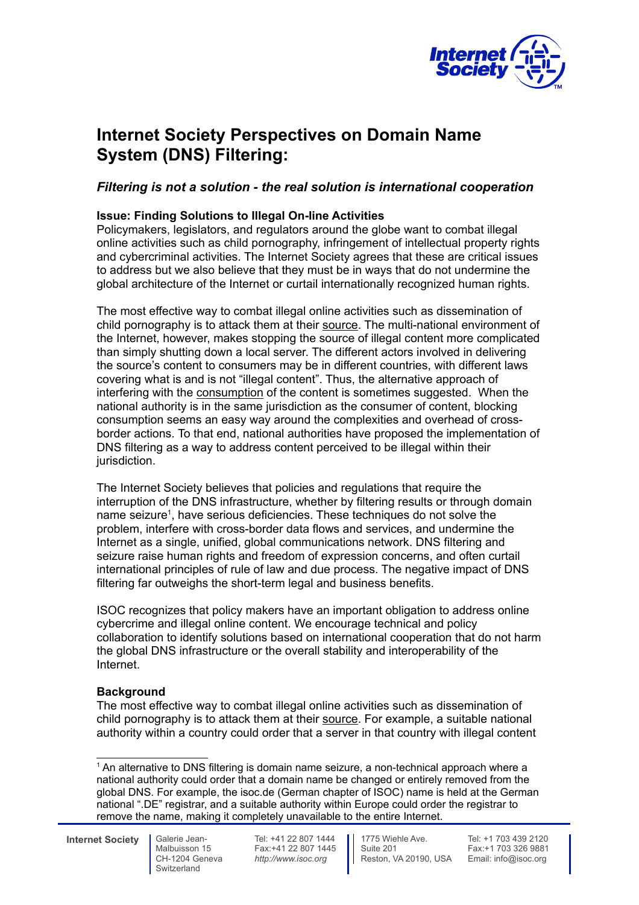

# **Internet Society Perspectives on Domain Name System (DNS) Filtering:**

# *Filtering is not a solution - the real solution is international cooperation*

# **Issue: Finding Solutions to Illegal On-line Activities**

Policymakers, legislators, and regulators around the globe want to combat illegal online activities such as child pornography, infringement of intellectual property rights and cybercriminal activities. The Internet Society agrees that these are critical issues to address but we also believe that they must be in ways that do not undermine the global architecture of the Internet or curtail internationally recognized human rights.

The most effective way to combat illegal online activities such as dissemination of child pornography is to attack them at their source. The multi-national environment of the Internet, however, makes stopping the source of illegal content more complicated than simply shutting down a local server. The different actors involved in delivering the source's content to consumers may be in different countries, with different laws covering what is and is not "illegal content". Thus, the alternative approach of interfering with the consumption of the content is sometimes suggested. When the national authority is in the same jurisdiction as the consumer of content, blocking consumption seems an easy way around the complexities and overhead of crossborder actions. To that end, national authorities have proposed the implementation of DNS filtering as a way to address content perceived to be illegal within their jurisdiction.

The Internet Society believes that policies and regulations that require the interruption of the DNS infrastructure, whether by filtering results or through domain name seizure<sup>1</sup>, have serious deficiencies. These techniques do not solve the problem, interfere with cross-border data flows and services, and undermine the Internet as a single, unified, global communications network. DNS filtering and seizure raise human rights and freedom of expression concerns, and often curtail international principles of rule of law and due process. The negative impact of DNS filtering far outweighs the short-term legal and business benefits.

ISOC recognizes that policy makers have an important obligation to address online cybercrime and illegal online content. We encourage technical and policy collaboration to identify solutions based on international cooperation that do not harm the global DNS infrastructure or the overall stability and interoperability of the Internet.

## **Background**

The most effective way to combat illegal online activities such as dissemination of child pornography is to attack them at their source. For example, a suitable national authority within a country could order that a server in that country with illegal content

**Internet Society** Galerie Jean-

Malbuisson 15 CH-1204 Geneva Switzerland

<sup>&</sup>lt;sup>1</sup> An alternative to DNS filtering is domain name seizure, a non-technical approach where a national authority could order that a domain name be changed or entirely removed from the global DNS. For example, the isoc.de (German chapter of ISOC) name is held at the German national ".DE" registrar, and a suitable authority within Europe could order the registrar to remove the name, making it completely unavailable to the entire Internet.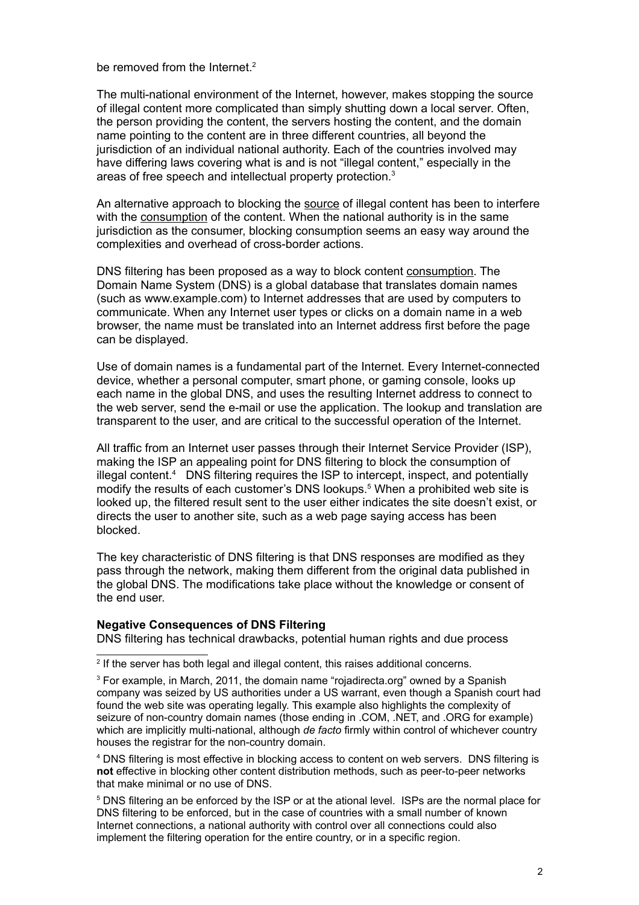be removed from the Internet  $2$ 

The multi-national environment of the Internet, however, makes stopping the source of illegal content more complicated than simply shutting down a local server. Often, the person providing the content, the servers hosting the content, and the domain name pointing to the content are in three different countries, all beyond the jurisdiction of an individual national authority. Each of the countries involved may have differing laws covering what is and is not "illegal content," especially in the areas of free speech and intellectual property protection. $3$ 

An alternative approach to blocking the source of illegal content has been to interfere with the consumption of the content. When the national authority is in the same jurisdiction as the consumer, blocking consumption seems an easy way around the complexities and overhead of cross-border actions.

DNS filtering has been proposed as a way to block content consumption. The Domain Name System (DNS) is a global database that translates domain names (such as www.example.com) to Internet addresses that are used by computers to communicate. When any Internet user types or clicks on a domain name in a web browser, the name must be translated into an Internet address first before the page can be displayed.

Use of domain names is a fundamental part of the Internet. Every Internet-connected device, whether a personal computer, smart phone, or gaming console, looks up each name in the global DNS, and uses the resulting Internet address to connect to the web server, send the e-mail or use the application. The lookup and translation are transparent to the user, and are critical to the successful operation of the Internet.

All traffic from an Internet user passes through their Internet Service Provider (ISP), making the ISP an appealing point for DNS filtering to block the consumption of illegal content.<sup>4</sup> DNS filtering requires the ISP to intercept, inspect, and potentially modify the results of each customer's DNS lookups.<sup>5</sup> When a prohibited web site is looked up, the filtered result sent to the user either indicates the site doesn't exist, or directs the user to another site, such as a web page saying access has been blocked.

The key characteristic of DNS filtering is that DNS responses are modified as they pass through the network, making them different from the original data published in the global DNS. The modifications take place without the knowledge or consent of the end user.

#### **Negative Consequences of DNS Filtering**

DNS filtering has technical drawbacks, potential human rights and due process

4 DNS filtering is most effective in blocking access to content on web servers. DNS filtering is **not** effective in blocking other content distribution methods, such as peer-to-peer networks that make minimal or no use of DNS.

<sup>5</sup> DNS filtering an be enforced by the ISP or at the ational level. ISPs are the normal place for DNS filtering to be enforced, but in the case of countries with a small number of known Internet connections, a national authority with control over all connections could also implement the filtering operation for the entire country, or in a specific region.

<sup>&</sup>lt;sup>2</sup> If the server has both legal and illegal content, this raises additional concerns.

<sup>&</sup>lt;sup>3</sup> For example, in March, 2011, the domain name "rojadirecta.org" owned by a Spanish company was seized by US authorities under a US warrant, even though a Spanish court had found the web site was operating legally. This example also highlights the complexity of seizure of non-country domain names (those ending in .COM, .NET, and .ORG for example) which are implicitly multi-national, although *de facto* firmly within control of whichever country houses the registrar for the non-country domain.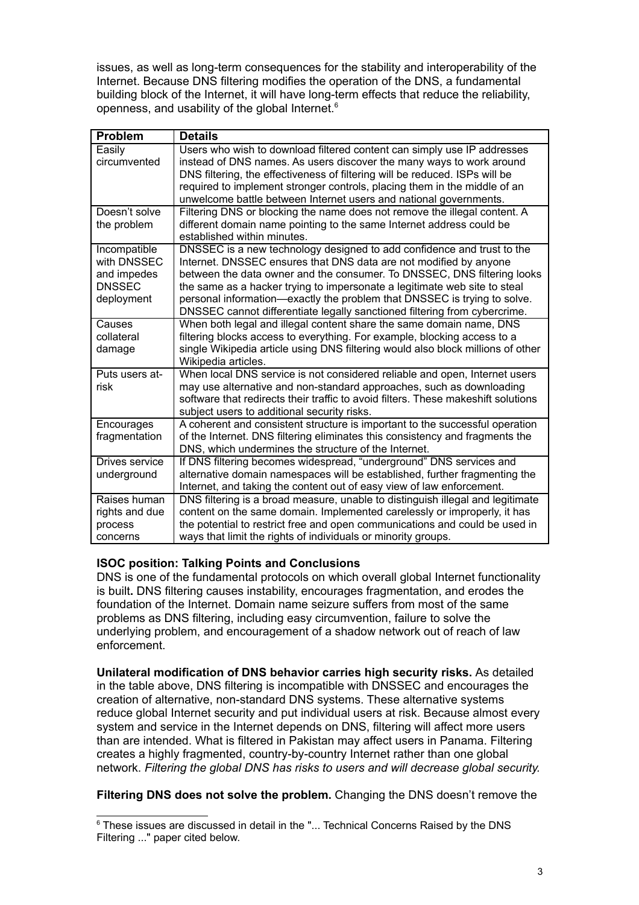issues, as well as long-term consequences for the stability and interoperability of the Internet. Because DNS filtering modifies the operation of the DNS, a fundamental building block of the Internet, it will have long-term effects that reduce the reliability, openness, and usability of the global Internet.<sup>6</sup>

| <b>Problem</b>                                                            | <b>Details</b>                                                                                                                                                                                                                                                                                                                                                                                                                                               |
|---------------------------------------------------------------------------|--------------------------------------------------------------------------------------------------------------------------------------------------------------------------------------------------------------------------------------------------------------------------------------------------------------------------------------------------------------------------------------------------------------------------------------------------------------|
| Easily<br>circumvented                                                    | Users who wish to download filtered content can simply use IP addresses<br>instead of DNS names. As users discover the many ways to work around<br>DNS filtering, the effectiveness of filtering will be reduced. ISPs will be<br>required to implement stronger controls, placing them in the middle of an<br>unwelcome battle between Internet users and national governments.                                                                             |
| Doesn't solve<br>the problem                                              | Filtering DNS or blocking the name does not remove the illegal content. A<br>different domain name pointing to the same Internet address could be<br>established within minutes.                                                                                                                                                                                                                                                                             |
| Incompatible<br>with DNSSEC<br>and impedes<br><b>DNSSEC</b><br>deployment | DNSSEC is a new technology designed to add confidence and trust to the<br>Internet. DNSSEC ensures that DNS data are not modified by anyone<br>between the data owner and the consumer. To DNSSEC, DNS filtering looks<br>the same as a hacker trying to impersonate a legitimate web site to steal<br>personal information—exactly the problem that DNSSEC is trying to solve.<br>DNSSEC cannot differentiate legally sanctioned filtering from cybercrime. |
| Causes<br>collateral<br>damage                                            | When both legal and illegal content share the same domain name, DNS<br>filtering blocks access to everything. For example, blocking access to a<br>single Wikipedia article using DNS filtering would also block millions of other<br>Wikipedia articles.                                                                                                                                                                                                    |
| Puts users at-<br>risk                                                    | When local DNS service is not considered reliable and open, Internet users<br>may use alternative and non-standard approaches, such as downloading<br>software that redirects their traffic to avoid filters. These makeshift solutions<br>subject users to additional security risks.                                                                                                                                                                       |
| Encourages<br>fragmentation                                               | A coherent and consistent structure is important to the successful operation<br>of the Internet. DNS filtering eliminates this consistency and fragments the<br>DNS, which undermines the structure of the Internet.                                                                                                                                                                                                                                         |
| Drives service<br>underground                                             | If DNS filtering becomes widespread, "underground" DNS services and<br>alternative domain namespaces will be established, further fragmenting the<br>Internet, and taking the content out of easy view of law enforcement.                                                                                                                                                                                                                                   |
| Raises human<br>rights and due<br>process<br>concerns                     | DNS filtering is a broad measure, unable to distinguish illegal and legitimate<br>content on the same domain. Implemented carelessly or improperly, it has<br>the potential to restrict free and open communications and could be used in<br>ways that limit the rights of individuals or minority groups.                                                                                                                                                   |

## **ISOC position: Talking Points and Conclusions**

DNS is one of the fundamental protocols on which overall global Internet functionality is built**.** DNS filtering causes instability, encourages fragmentation, and erodes the foundation of the Internet. Domain name seizure suffers from most of the same problems as DNS filtering, including easy circumvention, failure to solve the underlying problem, and encouragement of a shadow network out of reach of law enforcement.

**Unilateral modification of DNS behavior carries high security risks.** As detailed in the table above, DNS filtering is incompatible with DNSSEC and encourages the creation of alternative, non-standard DNS systems. These alternative systems reduce global Internet security and put individual users at risk. Because almost every system and service in the Internet depends on DNS, filtering will affect more users than are intended. What is filtered in Pakistan may affect users in Panama. Filtering creates a highly fragmented, country-by-country Internet rather than one global network. *Filtering the global DNS has risks to users and will decrease global security.*

**Filtering DNS does not solve the problem.** Changing the DNS doesn't remove the

 $^6$  These issues are discussed in detail in the "... Technical Concerns Raised by the DNS Filtering ..." paper cited below.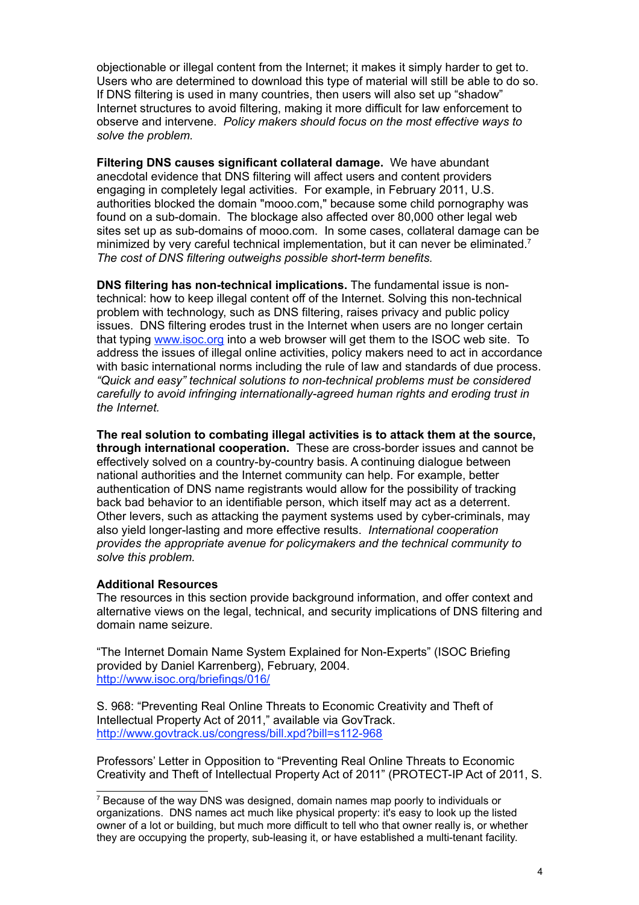objectionable or illegal content from the Internet; it makes it simply harder to get to. Users who are determined to download this type of material will still be able to do so. If DNS filtering is used in many countries, then users will also set up "shadow" Internet structures to avoid filtering, making it more difficult for law enforcement to observe and intervene. *Policy makers should focus on the most effective ways to solve the problem.*

**Filtering DNS causes significant collateral damage.** We have abundant anecdotal evidence that DNS filtering will affect users and content providers engaging in completely legal activities. For example, in February 2011, U.S. authorities blocked the domain "mooo.com," because some child pornography was found on a sub-domain. The blockage also affected over 80,000 other legal web sites set up as sub-domains of mooo.com. In some cases, collateral damage can be minimized by very careful technical implementation, but it can never be eliminated.7 *The cost of DNS filtering outweighs possible short-term benefits.*

**DNS filtering has non-technical implications.** The fundamental issue is nontechnical: how to keep illegal content off of the Internet. Solving this non-technical problem with technology, such as DNS filtering, raises privacy and public policy issues. DNS filtering erodes trust in the Internet when users are no longer certain that typing www.isoc.org into a web browser will get them to the ISOC web site. To address the issues of illegal online activities, policy makers need to act in accordance with basic international norms including the rule of law and standards of due process. *"Quick and easy" technical solutions to non-technical problems must be considered carefully to avoid infringing internationally-agreed human rights and eroding trust in the Internet.*

**The real solution to combating illegal activities is to attack them at the source, through international cooperation.** These are cross-border issues and cannot be effectively solved on a country-by-country basis. A continuing dialogue between national authorities and the Internet community can help. For example, better authentication of DNS name registrants would allow for the possibility of tracking back bad behavior to an identifiable person, which itself may act as a deterrent. Other levers, such as attacking the payment systems used by cyber-criminals, may also yield longer-lasting and more effective results. *International cooperation provides the appropriate avenue for policymakers and the technical community to solve this problem.*

## **Additional Resources**

The resources in this section provide background information, and offer context and alternative views on the legal, technical, and security implications of DNS filtering and domain name seizure.

"The Internet Domain Name System Explained for Non-Experts" (ISOC Briefing provided by Daniel Karrenberg), February, 2004. http://www.isoc.org/briefings/016/

S. 968: "Preventing Real Online Threats to Economic Creativity and Theft of Intellectual Property Act of 2011," available via GovTrack. http://www.govtrack.us/congress/bill.xpd?bill=s112-968

Professors' Letter in Opposition to "Preventing Real Online Threats to Economic Creativity and Theft of Intellectual Property Act of 2011" (PROTECT-IP Act of 2011, S.

<sup>&</sup>lt;sup>7</sup> Because of the way DNS was designed, domain names map poorly to individuals or organizations. DNS names act much like physical property: it's easy to look up the listed owner of a lot or building, but much more difficult to tell who that owner really is, or whether they are occupying the property, sub-leasing it, or have established a multi-tenant facility.